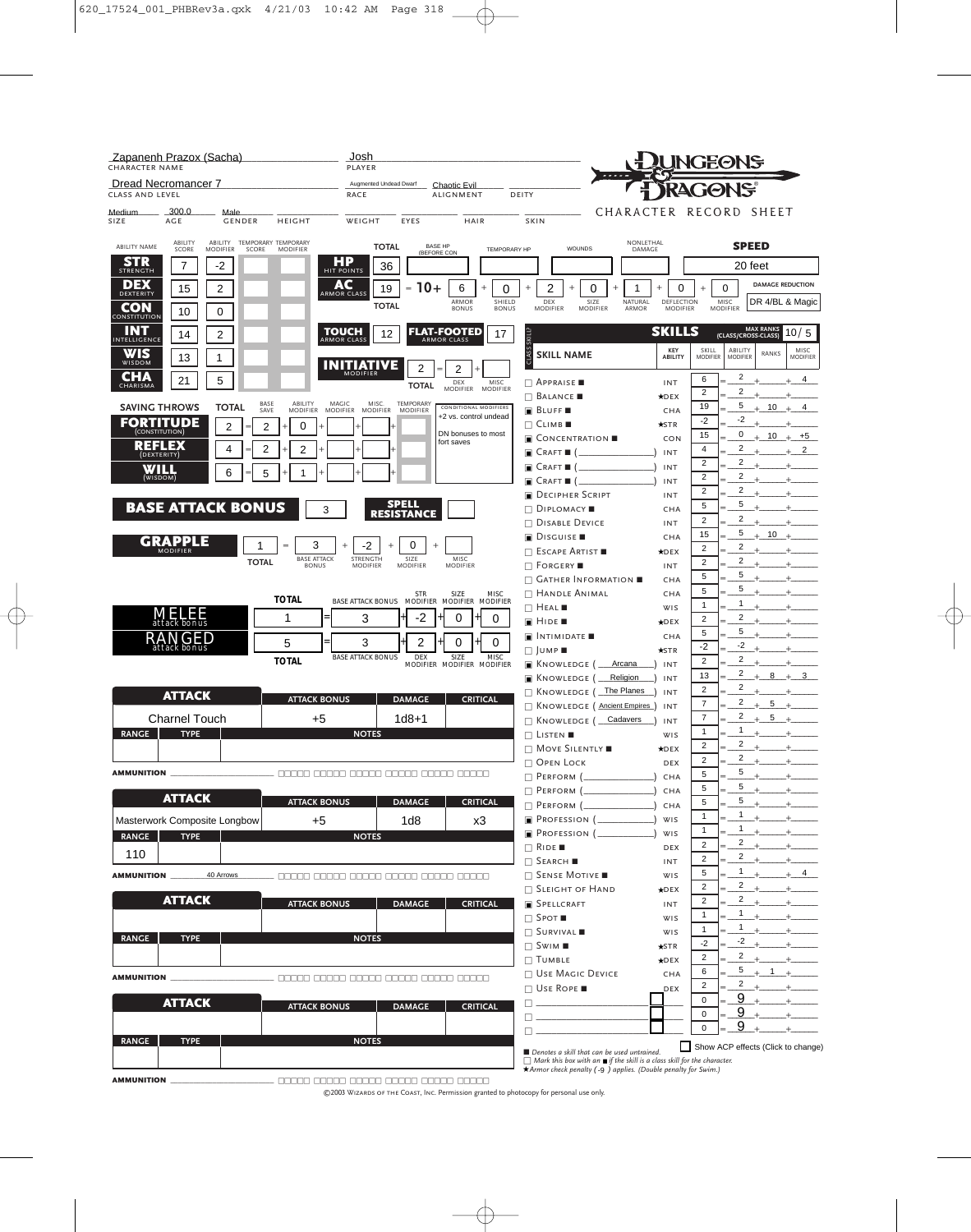| Zapanenh Prazox (Sacha)<br><b>CHARACTER NAME</b>                                                                  | Josh<br>PLAYER                                                                                                                            | <b>JNGEONS</b>                                                                                                                                                                                      |
|-------------------------------------------------------------------------------------------------------------------|-------------------------------------------------------------------------------------------------------------------------------------------|-----------------------------------------------------------------------------------------------------------------------------------------------------------------------------------------------------|
| Dread Necromancer 7<br>CLASS AND LEVEL                                                                            | Augmented Undead Dwarf<br>Chaotic Evil<br><b>RACE</b><br><b>ALIGNMENT</b><br>DEITY                                                        | GONS                                                                                                                                                                                                |
| 300.0<br>Medium<br>Male<br>SIZE<br>AGE<br><b>GENDER</b><br><b>HEIGHT</b>                                          | EYES<br>HAIR<br>SKIN<br>WEIGHT                                                                                                            | CHARACTER RECORD<br>SHEET                                                                                                                                                                           |
| TEMPORARY TEMPORARY<br>ABILITY<br>ABILITY<br>ABILITY NAME<br>SCORE<br><b>MODIFIER</b><br>SCORE<br><b>MODIFIER</b> | <b>TOTAL</b><br><b>BASE HP</b><br>WOUNDS<br><b>TEMPORARY HP</b><br>(BEFORE CON                                                            | NONLETHAL<br><b>SPEED</b><br>DAMAGE                                                                                                                                                                 |
| STR<br>7<br>-2<br><b>STRENGTH</b>                                                                                 | НP<br>36<br>HIT POINTS                                                                                                                    | 20 feet                                                                                                                                                                                             |
| DEX<br>15<br>2<br>DEXTERITY                                                                                       | AC<br>$10+$<br>6<br>2<br>19<br>0<br>0<br>$^{+}$<br>$^{+}$<br>$\overline{+}$<br>$=$<br>ARMOR CLASS                                         | <b>DAMAGE REDUCTION</b><br>0<br>$^{+}$<br>0<br>1<br>$^{+}$                                                                                                                                          |
| CON<br>10<br>0                                                                                                    | ARMOR<br>SHIELD<br>DEX<br>SIZE<br><b>TOTAL</b><br><b>BONUS</b><br><b>BONUS</b><br><b>MODIFIER</b><br><b>MODIFIER</b>                      | NATURAL<br>DEFLECTION<br>MISC<br>DR 4/BL & Magic<br>ARMOR<br><b>MODIFIER</b><br><b>MODIFIER</b>                                                                                                     |
| CONSTITUTION<br>INT<br><b>TOUCH</b><br>14<br>2                                                                    | <b>FLAT-FOOTED</b><br>12<br>17                                                                                                            | MAX RANKS<br>(CLASS/CROSS-CLASS)<br><b>SKILLS</b><br>10/5                                                                                                                                           |
| INTELLIGENCE<br>WIS                                                                                               | <b>SKILL?</b><br><b>ARMOR CLASS</b><br><b>ARMOR CLASS</b>                                                                                 | KEY<br>SKILL<br>ABILITY<br><b>MISC</b><br>RANKS                                                                                                                                                     |
| 13<br>1<br>WISDOM                                                                                                 | CLASS<br><b>SKILL NAME</b><br><b>INITIATIVE</b><br>2<br>2<br><b>MODIFIER</b>                                                              | <b>MODIFIER</b><br>ABILITY<br><b>MODIFIER</b><br><b>MODIFIER</b>                                                                                                                                    |
| CHA<br>21<br>5<br>CHARISMA                                                                                        | $\Box$ Appraise<br>DEX<br>MISC<br><b>TOTAL</b><br><b>MODIFIER</b><br><b>MODIFIER</b>                                                      | 2<br>6<br>$\overline{4}$<br>INT<br>$\overline{2}$<br>$\overline{2}$                                                                                                                                 |
| ABILITY<br>MAGIC<br>BASE<br><b>SAVING THROWS</b><br>TOTAL<br>SAVE<br><b>MODIFIER</b><br><b>MODIFIER</b>           | $\Box$ Balance $\blacksquare$<br>MISC.<br><b>TEMPORARY</b><br>CONDITIONAL MODIFIERS<br><b>MODIFIER</b><br><b>BLUFF</b><br><b>MODIFIER</b> | $\star$ DEX<br>19<br>5<br>$+10$<br>$\overline{4}$<br>$\pm$<br>CHA                                                                                                                                   |
| FORTITUDE<br>2<br>2<br>0                                                                                          | +2 vs. control undead<br>$\Box$ Climber                                                                                                   | $-2$<br>$-2$<br>$\star$ STR                                                                                                                                                                         |
| REFLEX                                                                                                            | DN bonuses to most<br>$\blacksquare$ Concentration $\blacksquare$<br>fort saves                                                           | 15<br>0<br>10<br>$+5$<br>CON<br>$\overline{2}$                                                                                                                                                      |
| 2<br>2<br>4<br>(DEXTERITY)                                                                                        | $\blacksquare$ Craft $\blacksquare$                                                                                                       | 4<br>2<br>INT<br>2<br>$\overline{2}$                                                                                                                                                                |
| WILL<br>6<br>5<br>(WISDOM)                                                                                        | $\blacksquare$ Craft $\blacksquare$ (<br>$\blacksquare$ Craft $\blacksquare$ (                                                            | INT<br>$\overline{c}$<br>2<br>INT                                                                                                                                                                   |
|                                                                                                                   | DECIPHER SCRIPT                                                                                                                           | 2<br>2<br>INT                                                                                                                                                                                       |
| <b>BASE ATTACK BONUS</b><br>3                                                                                     | <b>SPELL</b><br>$\Box$ Diplomacy<br><b>RESISTANCE</b>                                                                                     | 5<br>5<br>CHA<br>$\overline{2}$<br>$\overline{2}$                                                                                                                                                   |
|                                                                                                                   | $\Box$ Disable Device<br><b>DISGUISE</b>                                                                                                  | <b>INT</b><br>5<br>10<br>15<br>$\pm$<br>CHA                                                                                                                                                         |
| GRAPPLE<br>3<br>$=$<br><b>MODIFIER</b><br><b>BASE ATTACK</b>                                                      | -2<br>0<br>$\Box$ Escape Artist $\blacksquare$<br>STRENGTH<br>SIZE<br>MISC                                                                | 2<br>$\overline{2}$<br>$\star$ DEX                                                                                                                                                                  |
| <b>TOTAL</b><br><b>BONUS</b>                                                                                      | <b>MODIFIER</b><br>$\Box$ Forgery<br><b>MODIFIER</b><br><b>MODIFIER</b>                                                                   | 2<br>$\overline{2}$<br>INT<br>5<br>5                                                                                                                                                                |
|                                                                                                                   | $\Box$ Gather Information $\blacksquare$<br>$\Box$ Handle Animal                                                                          | CHA<br>5<br>5<br>CHA                                                                                                                                                                                |
| <b>TOTAL</b>                                                                                                      | STR SIZE MISC<br>BASE ATTACK BONUS MODIFIER MODIFIER MODIFIER<br>$\Box$ Heal                                                              | 1<br>$\mathbf{1}$<br>WIS                                                                                                                                                                            |
| <b>MELEE</b><br>1                                                                                                 | 3<br>-2<br>0<br>0<br>$\blacksquare$ Hide $\blacksquare$                                                                                   | 2<br>$\overline{2}$<br>$\star$ DEX<br>5<br>5                                                                                                                                                        |
| RА<br>NGED<br>5<br>attack bonus                                                                                   | $\blacksquare$ INTIMIDATE $\blacksquare$<br>3<br>2<br>0<br>0<br>$\Box$ JUMP                                                               | CHA<br>$-2$<br>-2<br>$\star$ STR                                                                                                                                                                    |
| <b>TOTAL</b>                                                                                                      | <b>BASE ATTACK BONUS</b><br>DEX<br>SIZE<br><b>MISC</b><br>$\blacksquare$ Knowledge (<br>MODIFIER MODIFIER MODIFIER                        | $\overline{2}$<br>$\overline{2}$<br>Arcana<br>INT                                                                                                                                                   |
|                                                                                                                   | <b>E</b> KNOWLEDGE (                                                                                                                      | 2<br>13<br>8<br>3<br>$\ddot{+}$<br>Religion<br>INT<br>$\overline{c}$<br>2                                                                                                                           |
| <b>ATTACK</b><br><b>ATTACK BONUS</b>                                                                              | $\Box$ Knowledge (<br><b>DAMAGE</b><br><b>CRITICAL</b><br><b>NOWLEDGE</b> (Ancient Empires)                                               | The Planes<br>INT<br>2<br>$\overline{7}$<br>5<br>INT                                                                                                                                                |
| <b>Charnel Touch</b><br>$+5$                                                                                      | $1d8 + 1$<br>$\Box$ Knowledge (                                                                                                           | 2<br>$\overline{7}$<br>5<br>Cadavers<br>INT                                                                                                                                                         |
| <b>TYPE</b><br><b>RANGE</b>                                                                                       | <b>NOTES</b><br>$\Box$ Listen                                                                                                             | 1<br>$\mathbf{1}$<br>WIS<br>2<br>2                                                                                                                                                                  |
|                                                                                                                   | $\Box$ Move Silently<br>$\Box$ Орен Lock                                                                                                  | $\star$ DEX<br>2<br>$\overline{2}$<br>DEX                                                                                                                                                           |
| <b>AMMUNITION</b><br>_________________________ 00000 00000 00000 00000 00000 00000                                | $\Box$ PERFORM $(\_$                                                                                                                      | 5<br>5<br>$+$ $+$<br>CHA                                                                                                                                                                            |
| <b>ATTACK</b><br><b>ATTACK BONUS</b>                                                                              | $\Box$ PERFORM ( $\Box$ )<br><b>DAMAGE</b><br><b>CRITICAL</b>                                                                             | 5<br>5<br>CHA<br>5                                                                                                                                                                                  |
| Masterwork Composite Longbow<br>+5                                                                                | $\Box$ PERFORM $(\_$<br>$\Box$ Profession ( $\Box$ )<br>1 <sub>d8</sub><br>x3                                                             | 5<br>$+$<br>CHA<br>1<br>$\mathbf{1}$<br>$+$ $-$<br>WIS                                                                                                                                              |
| <b>RANGE</b><br><b>TYPE</b>                                                                                       | $\Box$ Profession ( $\_\_\_\_\_\_\_\$ )<br><b>NOTES</b>                                                                                   | $\mathbf{1}$<br>$\mathbf{1}$<br>WIS                                                                                                                                                                 |
| 110                                                                                                               | $\Box$ RIDE                                                                                                                               | 2<br>2<br>$+$ $-$<br>DEX<br>$\mathbf{2}$<br>2<br>$+$                                                                                                                                                |
| 40 Arrows<br><b>AMMUNITION</b>                                                                                    | $\Box$ Search<br>$\Box$ Sense Motive<br>--- 00000 00000 00000 00000 00000 00000                                                           | INT<br>$\mathbf{1}$<br>5<br>4<br>$+$<br>WIS                                                                                                                                                         |
|                                                                                                                   | <b>GEIGHT OF HAND</b>                                                                                                                     | 2<br>$\overline{c}$<br>$\star$ DEX                                                                                                                                                                  |
| <b>ATTACK</b><br><b>ATTACK BONUS</b>                                                                              | <b>DAMAGE</b><br><b>CRITICAL</b><br><b>SPELLCRAFT</b>                                                                                     | $\mathbf{2}$<br>$\overline{c}$<br>INT<br>$\mathbf{1}$                                                                                                                                               |
|                                                                                                                   | $\Box$ Spot $\blacksquare$<br>$\Box$ SURVIVAL                                                                                             | $\mathbf{1}$<br>$+$ $+$<br>WIS<br>$\mathbf{1}$<br>1<br>WIS                                                                                                                                          |
| <b>TYPE</b><br><b>RANGE</b>                                                                                       | <b>NOTES</b><br>$\Box$ Swim $\blacksquare$                                                                                                | $-2$<br>$-2$<br>$\star$ STR                                                                                                                                                                         |
|                                                                                                                   | $\Box$ TUMBLE                                                                                                                             | $\overline{2}$<br>2<br>$+$ $+$<br>$\star$ DEX<br>5<br>6<br>$+1$ +                                                                                                                                   |
| <b>AMMUNITION</b>                                                                                                 | <b>NO USE MAGIC DEVICE</b><br>- 00000 00000 00000 00000 00000 00000<br>$\Box$ Use Rope                                                    | CHA<br>$\overline{2}$<br>2<br>DEX                                                                                                                                                                   |
| <b>ATTACK</b><br><b>ATTACK BONUS</b>                                                                              | <b>The Communication</b><br><b>DAMAGE</b><br><b>CRITICAL</b>                                                                              | 9<br>$\mathbf 0$                                                                                                                                                                                    |
|                                                                                                                   |                                                                                                                                           | 9<br>$\mathbf 0$<br>9                                                                                                                                                                               |
| <b>RANGE</b><br><b>TYPE</b>                                                                                       | Π.<br><b>NOTES</b>                                                                                                                        | 0                                                                                                                                                                                                   |
|                                                                                                                   | Denotes a skill that can be used untrained.                                                                                               | Show ACP effects (Click to change<br>$\Box$ Mark this box with an $\blacksquare$ if the skill is a class skill for the character.<br>★ Armor check penalty (-9) applies. (Double penalty for Swim.) |

AMMUNITION \_\_\_\_\_\_\_\_\_\_\_\_\_\_\_\_\_\_\_\_\_\_\_\_\_\_\_ □□□□□ □□□□□ □□□□□ □□□□□ □□□□□ □□□□□

©2003 Wizards of the Coast, Inc. Permission granted to photocopy for personal use only.